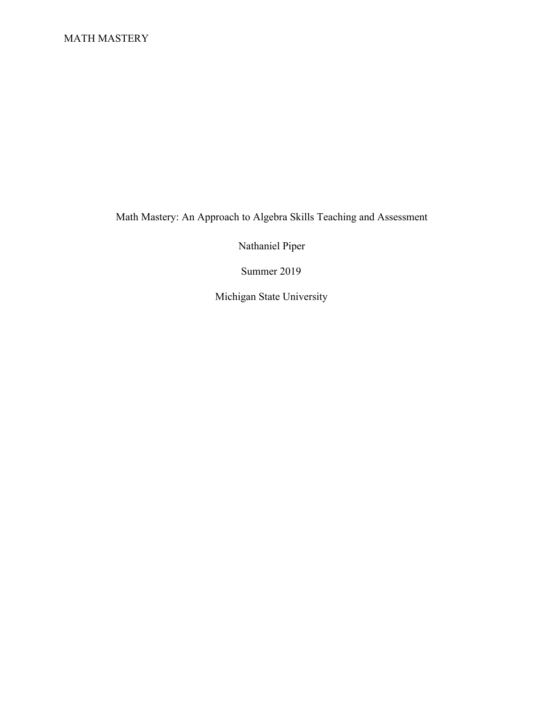Math Mastery: An Approach to Algebra Skills Teaching and Assessment

Nathaniel Piper

Summer 2019

Michigan State University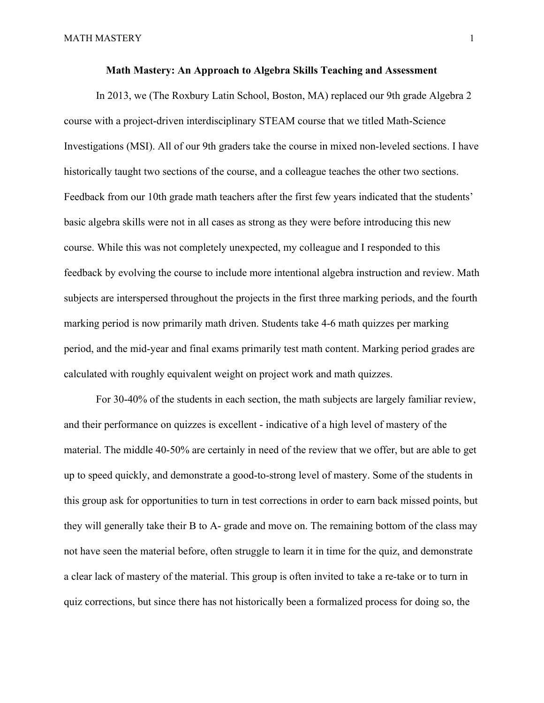### **Math Mastery: An Approach to Algebra Skills Teaching and Assessment**

In 2013, we (The Roxbury Latin School, Boston, MA) replaced our 9th grade Algebra 2 course with a project-driven interdisciplinary STEAM course that we titled Math-Science Investigations (MSI). All of our 9th graders take the course in mixed non-leveled sections. I have historically taught two sections of the course, and a colleague teaches the other two sections. Feedback from our 10th grade math teachers after the first few years indicated that the students' basic algebra skills were not in all cases as strong as they were before introducing this new course. While this was not completely unexpected, my colleague and I responded to this feedback by evolving the course to include more intentional algebra instruction and review. Math subjects are interspersed throughout the projects in the first three marking periods, and the fourth marking period is now primarily math driven. Students take 4-6 math quizzes per marking period, and the mid-year and final exams primarily test math content. Marking period grades are calculated with roughly equivalent weight on project work and math quizzes.

For 30-40% of the students in each section, the math subjects are largely familiar review, and their performance on quizzes is excellent - indicative of a high level of mastery of the material. The middle 40-50% are certainly in need of the review that we offer, but are able to get up to speed quickly, and demonstrate a good-to-strong level of mastery. Some of the students in this group ask for opportunities to turn in test corrections in order to earn back missed points, but they will generally take their B to A- grade and move on. The remaining bottom of the class may not have seen the material before, often struggle to learn it in time for the quiz, and demonstrate a clear lack of mastery of the material. This group is often invited to take a re-take or to turn in quiz corrections, but since there has not historically been a formalized process for doing so, the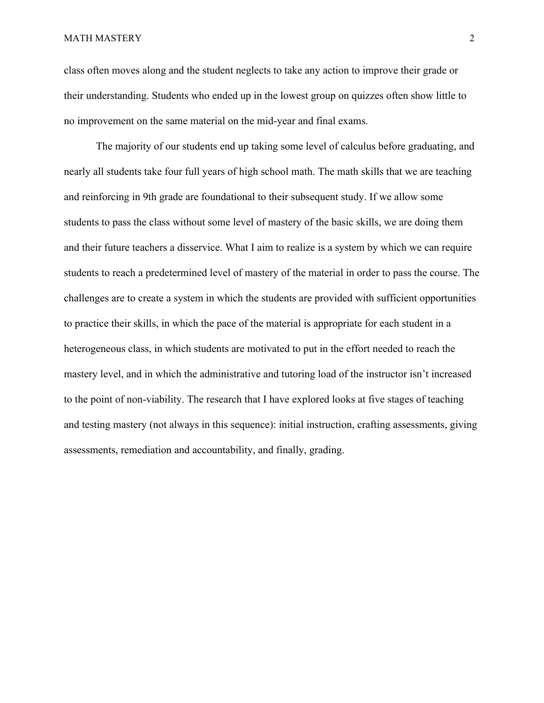class often moves along and the student neglects to take any action to improve their grade or their understanding. Students who ended up in the lowest group on quizzes often show little to no improvement on the same material on the mid-year and final exams.

The majority of our students end up taking some level of calculus before graduating, and nearly all students take four full years of high school math. The math skills that we are teaching and reinforcing in 9th grade are foundational to their subsequent study. If we allow some students to pass the class without some level of mastery of the basic skills, we are doing them and their future teachers a disservice. What I aim to realize is a system by which we can require students to reach a predetermined level of mastery of the material in order to pass the course. The challenges are to create a system in which the students are provided with sufficient opportunities to practice their skills, in which the pace of the material is appropriate for each student in a heterogeneous class, in which students are motivated to put in the effort needed to reach the mastery level, and in which the administrative and tutoring load of the instructor isn't increased to the point of non-viability. The research that I have explored looks at five stages of teaching and testing mastery (not always in this sequence): initial instruction, crafting assessments, giving assessments, remediation and accountability, and finally, grading.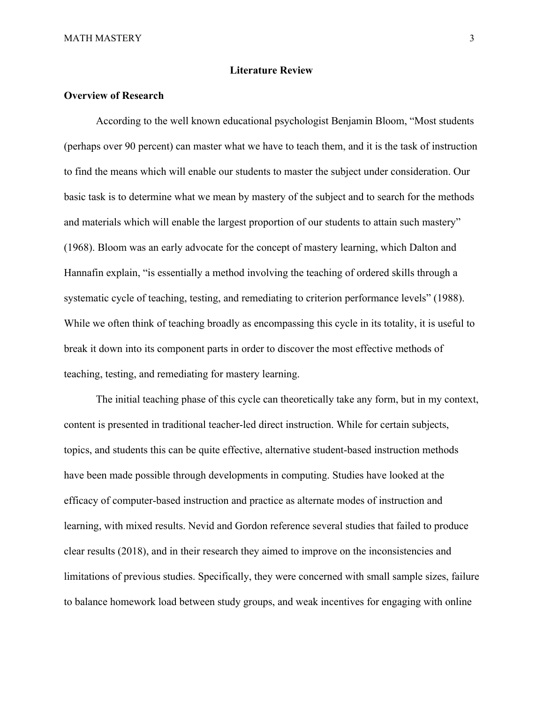# **Literature Review**

# **Overview of Research**

According to the well known educational psychologist Benjamin Bloom, "Most students (perhaps over 90 percent) can master what we have to teach them, and it is the task of instruction to find the means which will enable our students to master the subject under consideration. Our basic task is to determine what we mean by mastery of the subject and to search for the methods and materials which will enable the largest proportion of our students to attain such mastery" (1968). Bloom was an early advocate for the concept of mastery learning, which Dalton and Hannafin explain, "is essentially a method involving the teaching of ordered skills through a systematic cycle of teaching, testing, and remediating to criterion performance levels" (1988). While we often think of teaching broadly as encompassing this cycle in its totality, it is useful to break it down into its component parts in order to discover the most effective methods of teaching, testing, and remediating for mastery learning.

The initial teaching phase of this cycle can theoretically take any form, but in my context, content is presented in traditional teacher-led direct instruction. While for certain subjects, topics, and students this can be quite effective, alternative student-based instruction methods have been made possible through developments in computing. Studies have looked at the efficacy of computer-based instruction and practice as alternate modes of instruction and learning, with mixed results. Nevid and Gordon reference several studies that failed to produce clear results (2018), and in their research they aimed to improve on the inconsistencies and limitations of previous studies. Specifically, they were concerned with small sample sizes, failure to balance homework load between study groups, and weak incentives for engaging with online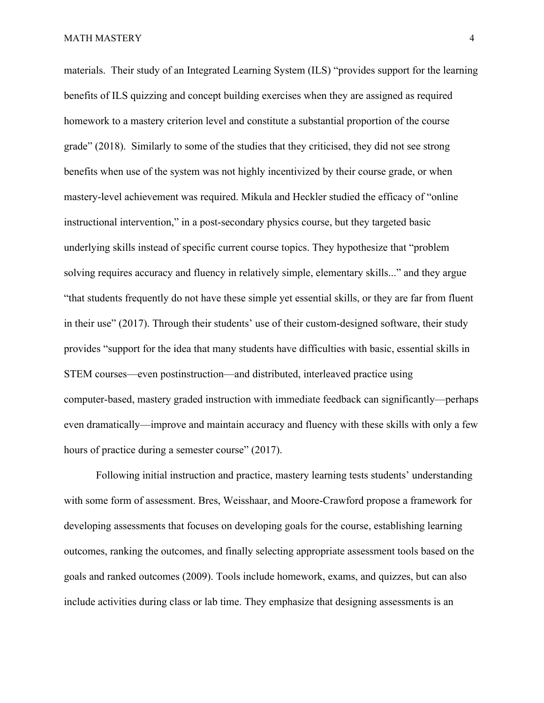#### MATH MASTERY  $\overline{4}$

materials. Their study of an Integrated Learning System (ILS) "provides support for the learning benefits of ILS quizzing and concept building exercises when they are assigned as required homework to a mastery criterion level and constitute a substantial proportion of the course grade" (2018). Similarly to some of the studies that they criticised, they did not see strong benefits when use of the system was not highly incentivized by their course grade, or when mastery-level achievement was required. Mikula and Heckler studied the efficacy of "online instructional intervention," in a post-secondary physics course, but they targeted basic underlying skills instead of specific current course topics. They hypothesize that "problem solving requires accuracy and fluency in relatively simple, elementary skills..." and they argue "that students frequently do not have these simple yet essential skills, or they are far from fluent in their use" (2017). Through their students' use of their custom-designed software, their study provides "support for the idea that many students have difficulties with basic, essential skills in STEM courses—even postinstruction—and distributed, interleaved practice using computer-based, mastery graded instruction with immediate feedback can significantly—perhaps even dramatically—improve and maintain accuracy and fluency with these skills with only a few hours of practice during a semester course" (2017).

Following initial instruction and practice, mastery learning tests students' understanding with some form of assessment. Bres, Weisshaar, and Moore-Crawford propose a framework for developing assessments that focuses on developing goals for the course, establishing learning outcomes, ranking the outcomes, and finally selecting appropriate assessment tools based on the goals and ranked outcomes (2009). Tools include homework, exams, and quizzes, but can also include activities during class or lab time. They emphasize that designing assessments is an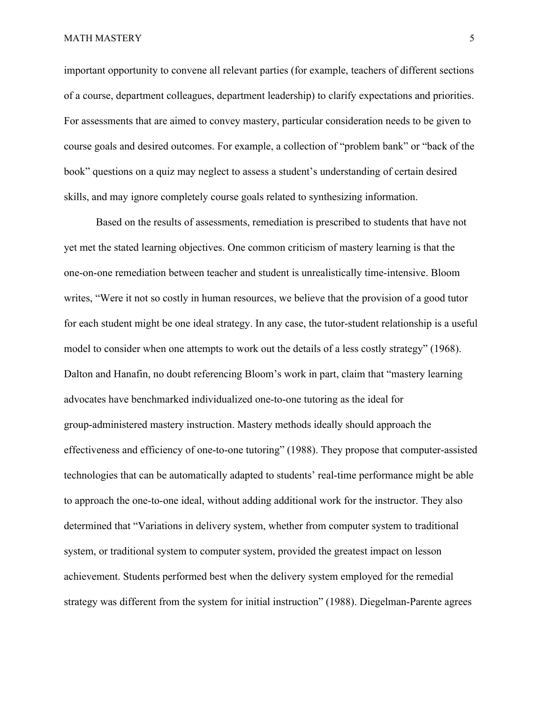important opportunity to convene all relevant parties (for example, teachers of different sections of a course, department colleagues, department leadership) to clarify expectations and priorities. For assessments that are aimed to convey mastery, particular consideration needs to be given to course goals and desired outcomes. For example, a collection of "problem bank" or "back of the book" questions on a quiz may neglect to assess a student's understanding of certain desired skills, and may ignore completely course goals related to synthesizing information.

Based on the results of assessments, remediation is prescribed to students that have not yet met the stated learning objectives. One common criticism of mastery learning is that the one-on-one remediation between teacher and student is unrealistically time-intensive. Bloom writes, "Were it not so costly in human resources, we believe that the provision of a good tutor for each student might be one ideal strategy. In any case, the tutor-student relationship is a useful model to consider when one attempts to work out the details of a less costly strategy" (1968). Dalton and Hanafin, no doubt referencing Bloom's work in part, claim that "mastery learning advocates have benchmarked individualized one-to-one tutoring as the ideal for group-administered mastery instruction. Mastery methods ideally should approach the effectiveness and efficiency of one-to-one tutoring" (1988). They propose that computer-assisted technologies that can be automatically adapted to students' real-time performance might be able to approach the one-to-one ideal, without adding additional work for the instructor. They also determined that "Variations in delivery system, whether from computer system to traditional system, or traditional system to computer system, provided the greatest impact on lesson achievement. Students performed best when the delivery system employed for the remedial strategy was different from the system for initial instruction" (1988). Diegelman-Parente agrees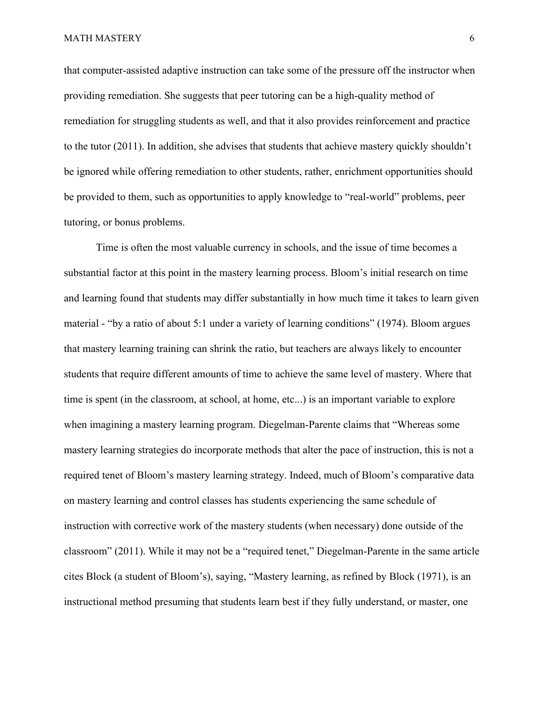that computer-assisted adaptive instruction can take some of the pressure off the instructor when providing remediation. She suggests that peer tutoring can be a high-quality method of remediation for struggling students as well, and that it also provides reinforcement and practice to the tutor (2011). In addition, she advises that students that achieve mastery quickly shouldn't be ignored while offering remediation to other students, rather, enrichment opportunities should be provided to them, such as opportunities to apply knowledge to "real-world" problems, peer tutoring, or bonus problems.

Time is often the most valuable currency in schools, and the issue of time becomes a substantial factor at this point in the mastery learning process. Bloom's initial research on time and learning found that students may differ substantially in how much time it takes to learn given material - "by a ratio of about 5:1 under a variety of learning conditions" (1974). Bloom argues that mastery learning training can shrink the ratio, but teachers are always likely to encounter students that require different amounts of time to achieve the same level of mastery. Where that time is spent (in the classroom, at school, at home, etc...) is an important variable to explore when imagining a mastery learning program. Diegelman-Parente claims that "Whereas some mastery learning strategies do incorporate methods that alter the pace of instruction, this is not a required tenet of Bloom's mastery learning strategy. Indeed, much of Bloom's comparative data on mastery learning and control classes has students experiencing the same schedule of instruction with corrective work of the mastery students (when necessary) done outside of the classroom" (2011). While it may not be a "required tenet," Diegelman-Parente in the same article cites Block (a student of Bloom's), saying, "Mastery learning, as refined by Block (1971), is an instructional method presuming that students learn best if they fully understand, or master, one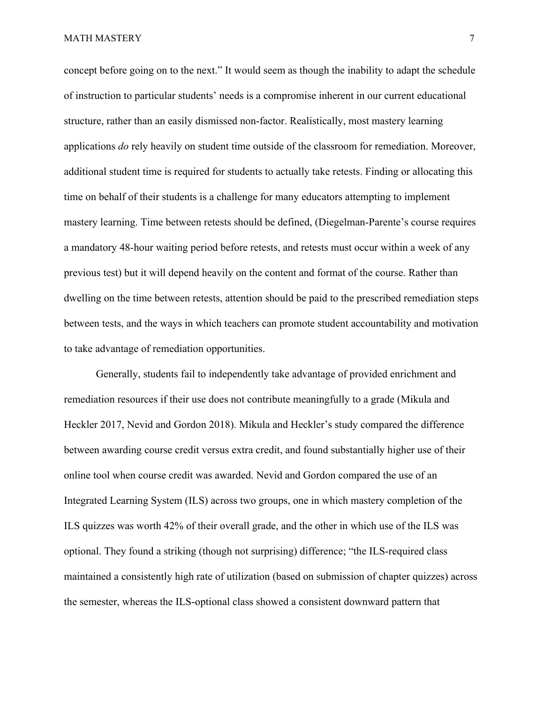concept before going on to the next." It would seem as though the inability to adapt the schedule of instruction to particular students' needs is a compromise inherent in our current educational structure, rather than an easily dismissed non-factor. Realistically, most mastery learning applications *do* rely heavily on student time outside of the classroom for remediation. Moreover, additional student time is required for students to actually take retests. Finding or allocating this time on behalf of their students is a challenge for many educators attempting to implement mastery learning. Time between retests should be defined, (Diegelman-Parente's course requires a mandatory 48-hour waiting period before retests, and retests must occur within a week of any previous test) but it will depend heavily on the content and format of the course. Rather than dwelling on the time between retests, attention should be paid to the prescribed remediation steps between tests, and the ways in which teachers can promote student accountability and motivation to take advantage of remediation opportunities.

Generally, students fail to independently take advantage of provided enrichment and remediation resources if their use does not contribute meaningfully to a grade (Mikula and Heckler 2017, Nevid and Gordon 2018). Mikula and Heckler's study compared the difference between awarding course credit versus extra credit, and found substantially higher use of their online tool when course credit was awarded. Nevid and Gordon compared the use of an Integrated Learning System (ILS) across two groups, one in which mastery completion of the ILS quizzes was worth 42% of their overall grade, and the other in which use of the ILS was optional. They found a striking (though not surprising) difference; "the ILS-required class maintained a consistently high rate of utilization (based on submission of chapter quizzes) across the semester, whereas the ILS-optional class showed a consistent downward pattern that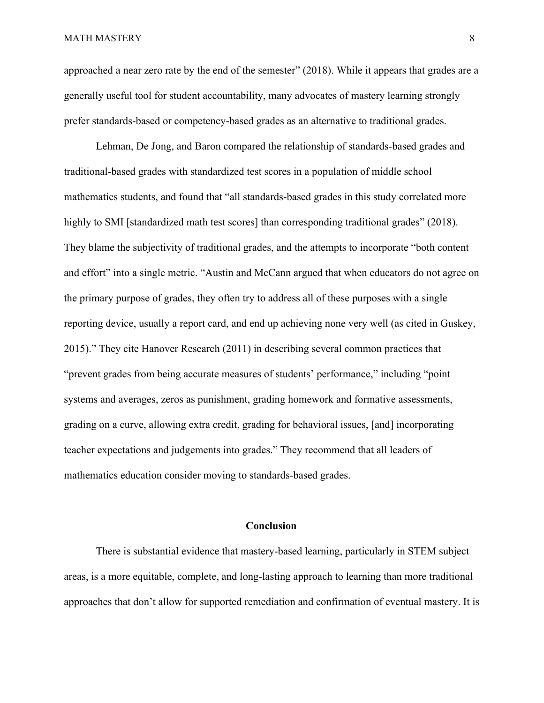approached a near zero rate by the end of the semester" (2018). While it appears that grades are a generally useful tool for student accountability, many advocates of mastery learning strongly prefer standards-based or competency-based grades as an alternative to traditional grades.

Lehman, De Jong, and Baron compared the relationship of standards-based grades and traditional-based grades with standardized test scores in a population of middle school mathematics students, and found that "all standards-based grades in this study correlated more highly to SMI [standardized math test scores] than corresponding traditional grades" (2018). They blame the subjectivity of traditional grades, and the attempts to incorporate "both content and effort" into a single metric. "Austin and McCann argued that when educators do not agree on the primary purpose of grades, they often try to address all of these purposes with a single reporting device, usually a report card, and end up achieving none very well (as cited in Guskey, 2015)." They cite Hanover Research (2011) in describing several common practices that "prevent grades from being accurate measures of students' performance," including "point systems and averages, zeros as punishment, grading homework and formative assessments, grading on a curve, allowing extra credit, grading for behavioral issues, [and] incorporating teacher expectations and judgements into grades." They recommend that all leaders of mathematics education consider moving to standards-based grades.

# **Conclusion**

There is substantial evidence that mastery-based learning, particularly in STEM subject areas, is a more equitable, complete, and long-lasting approach to learning than more traditional approaches that don't allow for supported remediation and confirmation of eventual mastery. It is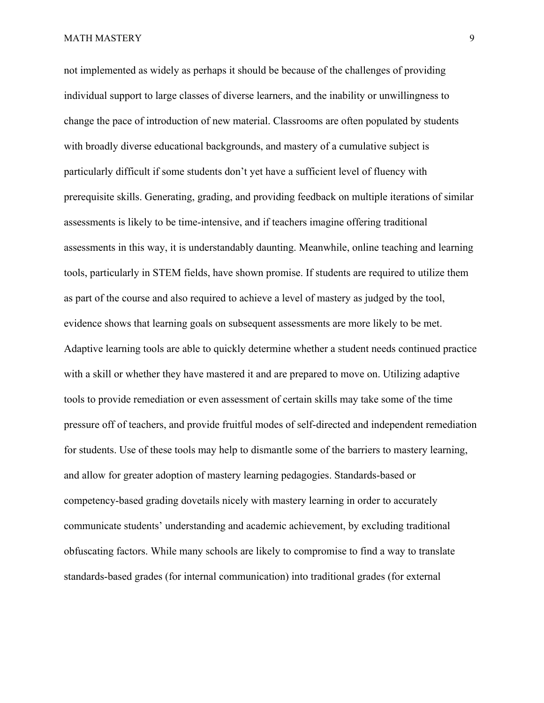not implemented as widely as perhaps it should be because of the challenges of providing individual support to large classes of diverse learners, and the inability or unwillingness to change the pace of introduction of new material. Classrooms are often populated by students with broadly diverse educational backgrounds, and mastery of a cumulative subject is particularly difficult if some students don't yet have a sufficient level of fluency with prerequisite skills. Generating, grading, and providing feedback on multiple iterations of similar assessments is likely to be time-intensive, and if teachers imagine offering traditional assessments in this way, it is understandably daunting. Meanwhile, online teaching and learning tools, particularly in STEM fields, have shown promise. If students are required to utilize them as part of the course and also required to achieve a level of mastery as judged by the tool, evidence shows that learning goals on subsequent assessments are more likely to be met. Adaptive learning tools are able to quickly determine whether a student needs continued practice with a skill or whether they have mastered it and are prepared to move on. Utilizing adaptive tools to provide remediation or even assessment of certain skills may take some of the time pressure off of teachers, and provide fruitful modes of self-directed and independent remediation for students. Use of these tools may help to dismantle some of the barriers to mastery learning, and allow for greater adoption of mastery learning pedagogies. Standards-based or competency-based grading dovetails nicely with mastery learning in order to accurately communicate students' understanding and academic achievement, by excluding traditional obfuscating factors. While many schools are likely to compromise to find a way to translate standards-based grades (for internal communication) into traditional grades (for external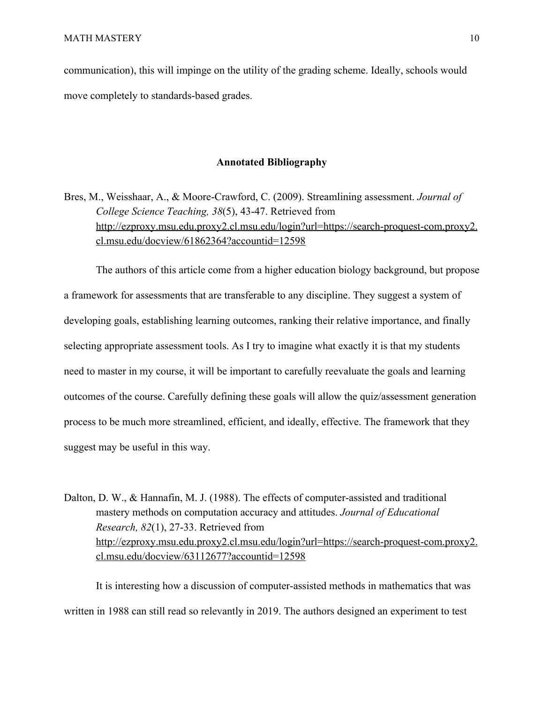communication), this will impinge on the utility of the grading scheme. Ideally, schools would move completely to standards-based grades.

# **Annotated Bibliography**

Bres, M., Weisshaar, A., & Moore-Crawford, C. (2009). Streamlining assessment. *Journal of College Science Teaching, 38*(5), 43-47. Retrieved from [http://ezproxy.msu.edu.proxy2.cl.msu.edu/login?url=https://search-proquest-com.proxy2.](http://ezproxy.msu.edu.proxy2.cl.msu.edu/login?url=https://search-proquest-com.proxy2.cl.msu.edu/docview/61862364?accountid=12598) [cl.msu.edu/docview/61862364?accountid=12598](http://ezproxy.msu.edu.proxy2.cl.msu.edu/login?url=https://search-proquest-com.proxy2.cl.msu.edu/docview/61862364?accountid=12598)

The authors of this article come from a higher education biology background, but propose a framework for assessments that are transferable to any discipline. They suggest a system of developing goals, establishing learning outcomes, ranking their relative importance, and finally selecting appropriate assessment tools. As I try to imagine what exactly it is that my students need to master in my course, it will be important to carefully reevaluate the goals and learning outcomes of the course. Carefully defining these goals will allow the quiz/assessment generation process to be much more streamlined, efficient, and ideally, effective. The framework that they suggest may be useful in this way.

Dalton, D. W., & Hannafin, M. J. (1988). The effects of computer-assisted and traditional mastery methods on computation accuracy and attitudes. *Journal of Educational Research, 82*(1), 27-33. Retrieved from [http://ezproxy.msu.edu.proxy2.cl.msu.edu/login?url=https://search-proquest-com.proxy2.](http://ezproxy.msu.edu.proxy2.cl.msu.edu/login?url=https://search-proquest-com.proxy2.cl.msu.edu/docview/63112677?accountid=12598) [cl.msu.edu/docview/63112677?accountid=12598](http://ezproxy.msu.edu.proxy2.cl.msu.edu/login?url=https://search-proquest-com.proxy2.cl.msu.edu/docview/63112677?accountid=12598)

It is interesting how a discussion of computer-assisted methods in mathematics that was written in 1988 can still read so relevantly in 2019. The authors designed an experiment to test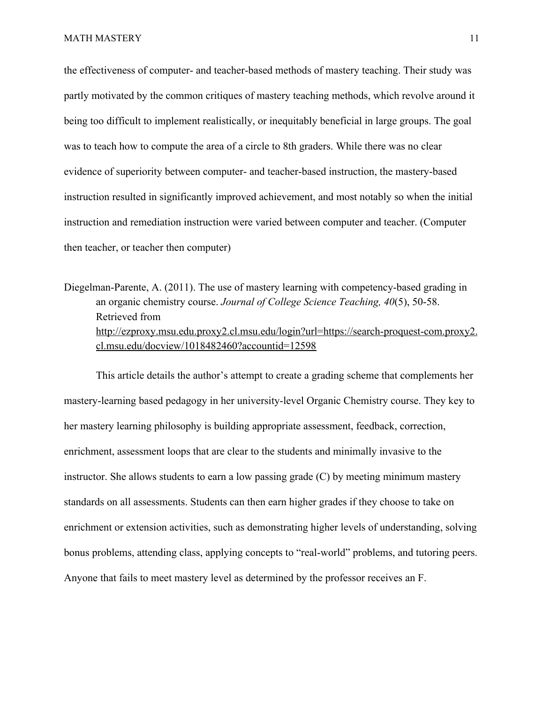the effectiveness of computer- and teacher-based methods of mastery teaching. Their study was partly motivated by the common critiques of mastery teaching methods, which revolve around it being too difficult to implement realistically, or inequitably beneficial in large groups. The goal was to teach how to compute the area of a circle to 8th graders. While there was no clear evidence of superiority between computer- and teacher-based instruction, the mastery-based instruction resulted in significantly improved achievement, and most notably so when the initial instruction and remediation instruction were varied between computer and teacher. (Computer then teacher, or teacher then computer)

Diegelman-Parente, A. (2011). The use of mastery learning with competency-based grading in an organic chemistry course. *Journal of College Science Teaching, 40*(5), 50-58. Retrieved from [http://ezproxy.msu.edu.proxy2.cl.msu.edu/login?url=https://search-proquest-com.proxy2.](http://ezproxy.msu.edu.proxy2.cl.msu.edu/login?url=https://search-proquest-com.proxy2.cl.msu.edu/docview/1018482460?accountid=12598) [cl.msu.edu/docview/1018482460?accountid=12598](http://ezproxy.msu.edu.proxy2.cl.msu.edu/login?url=https://search-proquest-com.proxy2.cl.msu.edu/docview/1018482460?accountid=12598)

This article details the author's attempt to create a grading scheme that complements her mastery-learning based pedagogy in her university-level Organic Chemistry course. They key to her mastery learning philosophy is building appropriate assessment, feedback, correction, enrichment, assessment loops that are clear to the students and minimally invasive to the instructor. She allows students to earn a low passing grade (C) by meeting minimum mastery standards on all assessments. Students can then earn higher grades if they choose to take on enrichment or extension activities, such as demonstrating higher levels of understanding, solving bonus problems, attending class, applying concepts to "real-world" problems, and tutoring peers. Anyone that fails to meet mastery level as determined by the professor receives an F.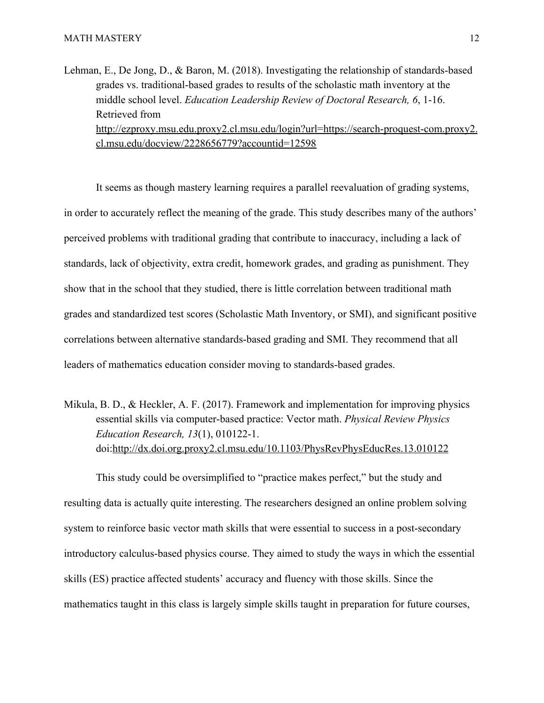Lehman, E., De Jong, D., & Baron, M. (2018). Investigating the relationship of standards-based grades vs. traditional-based grades to results of the scholastic math inventory at the middle school level. *Education Leadership Review of Doctoral Research, 6*, 1-16. Retrieved from [http://ezproxy.msu.edu.proxy2.cl.msu.edu/login?url=https://search-proquest-com.proxy2.](http://ezproxy.msu.edu.proxy2.cl.msu.edu/login?url=https://search-proquest-com.proxy2.cl.msu.edu/docview/2228656779?accountid=12598) [cl.msu.edu/docview/2228656779?accountid=12598](http://ezproxy.msu.edu.proxy2.cl.msu.edu/login?url=https://search-proquest-com.proxy2.cl.msu.edu/docview/2228656779?accountid=12598)

It seems as though mastery learning requires a parallel reevaluation of grading systems, in order to accurately reflect the meaning of the grade. This study describes many of the authors' perceived problems with traditional grading that contribute to inaccuracy, including a lack of standards, lack of objectivity, extra credit, homework grades, and grading as punishment. They show that in the school that they studied, there is little correlation between traditional math grades and standardized test scores (Scholastic Math Inventory, or SMI), and significant positive correlations between alternative standards-based grading and SMI. They recommend that all leaders of mathematics education consider moving to standards-based grades.

Mikula, B. D., & Heckler, A. F. (2017). Framework and implementation for improving physics essential skills via computer-based practice: Vector math. *Physical Review Physics Education Research, 13*(1), 010122-1. doi:<http://dx.doi.org.proxy2.cl.msu.edu/10.1103/PhysRevPhysEducRes.13.010122>

This study could be oversimplified to "practice makes perfect," but the study and resulting data is actually quite interesting. The researchers designed an online problem solving system to reinforce basic vector math skills that were essential to success in a post-secondary introductory calculus-based physics course. They aimed to study the ways in which the essential skills (ES) practice affected students' accuracy and fluency with those skills. Since the mathematics taught in this class is largely simple skills taught in preparation for future courses,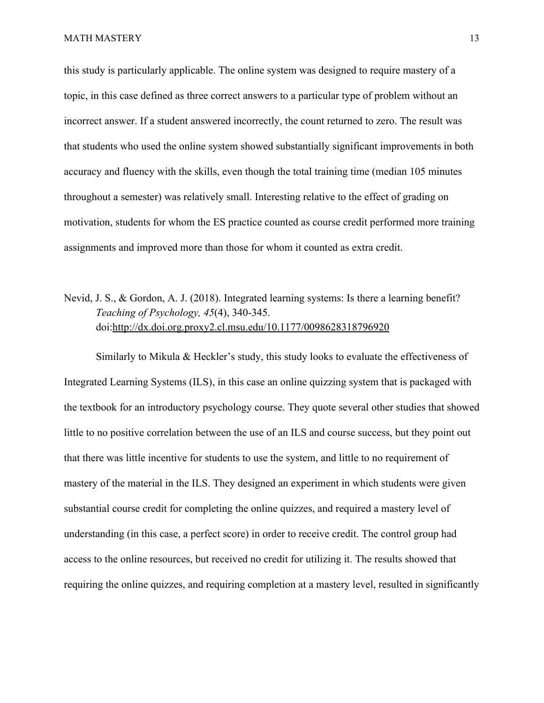this study is particularly applicable. The online system was designed to require mastery of a topic, in this case defined as three correct answers to a particular type of problem without an incorrect answer. If a student answered incorrectly, the count returned to zero. The result was that students who used the online system showed substantially significant improvements in both accuracy and fluency with the skills, even though the total training time (median 105 minutes throughout a semester) was relatively small. Interesting relative to the effect of grading on motivation, students for whom the ES practice counted as course credit performed more training assignments and improved more than those for whom it counted as extra credit.

Nevid, J. S., & Gordon, A. J. (2018). Integrated learning systems: Is there a learning benefit? *Teaching of Psychology, 45*(4), 340-345. doi:<http://dx.doi.org.proxy2.cl.msu.edu/10.1177/0098628318796920>

Similarly to Mikula & Heckler's study, this study looks to evaluate the effectiveness of Integrated Learning Systems (ILS), in this case an online quizzing system that is packaged with the textbook for an introductory psychology course. They quote several other studies that showed little to no positive correlation between the use of an ILS and course success, but they point out that there was little incentive for students to use the system, and little to no requirement of mastery of the material in the ILS. They designed an experiment in which students were given substantial course credit for completing the online quizzes, and required a mastery level of understanding (in this case, a perfect score) in order to receive credit. The control group had access to the online resources, but received no credit for utilizing it. The results showed that requiring the online quizzes, and requiring completion at a mastery level, resulted in significantly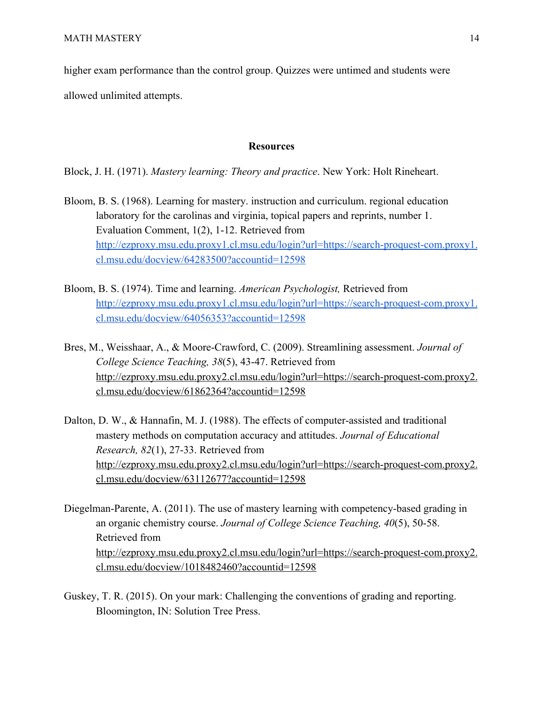higher exam performance than the control group. Quizzes were untimed and students were

allowed unlimited attempts.

# **Resources**

Block, J. H. (1971). *Mastery learning: Theory and practice*. New York: Holt Rineheart.

- Bloom, B. S. (1968). Learning for mastery. instruction and curriculum. regional education laboratory for the carolinas and virginia, topical papers and reprints, number 1. Evaluation Comment, 1(2), 1-12. Retrieved from [http://ezproxy.msu.edu.proxy1.cl.msu.edu/login?url=https://search-proquest-com.proxy1.](http://ezproxy.msu.edu.proxy1.cl.msu.edu/login?url=https://search-proquest-com.proxy1.cl.msu.edu/docview/64283500?accountid=12598) [cl.msu.edu/docview/64283500?accountid=12598](http://ezproxy.msu.edu.proxy1.cl.msu.edu/login?url=https://search-proquest-com.proxy1.cl.msu.edu/docview/64283500?accountid=12598)
- Bloom, B. S. (1974). Time and learning. *American Psychologist,* Retrieved from [http://ezproxy.msu.edu.proxy1.cl.msu.edu/login?url=https://search-proquest-com.proxy1.](http://ezproxy.msu.edu.proxy1.cl.msu.edu/login?url=https://search-proquest-com.proxy1.cl.msu.edu/docview/64056353?accountid=12598) [cl.msu.edu/docview/64056353?accountid=12598](http://ezproxy.msu.edu.proxy1.cl.msu.edu/login?url=https://search-proquest-com.proxy1.cl.msu.edu/docview/64056353?accountid=12598)
- Bres, M., Weisshaar, A., & Moore-Crawford, C. (2009). Streamlining assessment. *Journal of College Science Teaching, 38*(5), 43-47. Retrieved from [http://ezproxy.msu.edu.proxy2.cl.msu.edu/login?url=https://search-proquest-com.proxy2.](http://ezproxy.msu.edu.proxy2.cl.msu.edu/login?url=https://search-proquest-com.proxy2.cl.msu.edu/docview/61862364?accountid=12598) [cl.msu.edu/docview/61862364?accountid=12598](http://ezproxy.msu.edu.proxy2.cl.msu.edu/login?url=https://search-proquest-com.proxy2.cl.msu.edu/docview/61862364?accountid=12598)
- Dalton, D. W., & Hannafin, M. J. (1988). The effects of computer-assisted and traditional mastery methods on computation accuracy and attitudes. *Journal of Educational Research, 82*(1), 27-33. Retrieved from [http://ezproxy.msu.edu.proxy2.cl.msu.edu/login?url=https://search-proquest-com.proxy2.](http://ezproxy.msu.edu.proxy2.cl.msu.edu/login?url=https://search-proquest-com.proxy2.cl.msu.edu/docview/63112677?accountid=12598) [cl.msu.edu/docview/63112677?accountid=12598](http://ezproxy.msu.edu.proxy2.cl.msu.edu/login?url=https://search-proquest-com.proxy2.cl.msu.edu/docview/63112677?accountid=12598)
- Diegelman-Parente, A. (2011). The use of mastery learning with competency-based grading in an organic chemistry course. *Journal of College Science Teaching, 40*(5), 50-58. Retrieved from [http://ezproxy.msu.edu.proxy2.cl.msu.edu/login?url=https://search-proquest-com.proxy2.](http://ezproxy.msu.edu.proxy2.cl.msu.edu/login?url=https://search-proquest-com.proxy2.cl.msu.edu/docview/1018482460?accountid=12598) [cl.msu.edu/docview/1018482460?accountid=12598](http://ezproxy.msu.edu.proxy2.cl.msu.edu/login?url=https://search-proquest-com.proxy2.cl.msu.edu/docview/1018482460?accountid=12598)
- Guskey, T. R. (2015). On your mark: Challenging the conventions of grading and reporting. Bloomington, IN: Solution Tree Press.